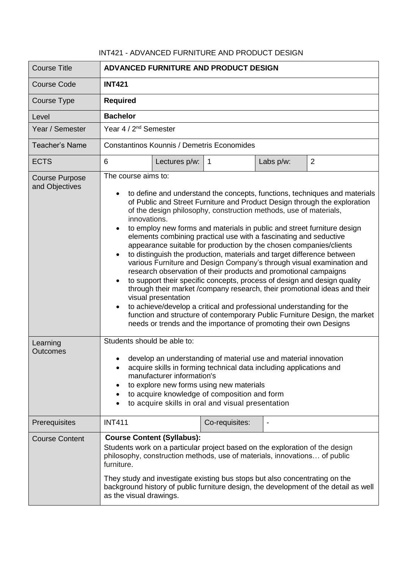## INT421 - ADVANCED FURNITURE AND PRODUCT DESIGN

| <b>Course Title</b>                     | ADVANCED FURNITURE AND PRODUCT DESIGN                                                                                                                                                                                                                                                                                                                                                                                                                                                                                                                                                                                                                                                                                                                                                                                                                                                                                                                                                                                                                                                                                                    |               |                |                          |                |
|-----------------------------------------|------------------------------------------------------------------------------------------------------------------------------------------------------------------------------------------------------------------------------------------------------------------------------------------------------------------------------------------------------------------------------------------------------------------------------------------------------------------------------------------------------------------------------------------------------------------------------------------------------------------------------------------------------------------------------------------------------------------------------------------------------------------------------------------------------------------------------------------------------------------------------------------------------------------------------------------------------------------------------------------------------------------------------------------------------------------------------------------------------------------------------------------|---------------|----------------|--------------------------|----------------|
| <b>Course Code</b>                      | <b>INT421</b>                                                                                                                                                                                                                                                                                                                                                                                                                                                                                                                                                                                                                                                                                                                                                                                                                                                                                                                                                                                                                                                                                                                            |               |                |                          |                |
| Course Type                             | <b>Required</b>                                                                                                                                                                                                                                                                                                                                                                                                                                                                                                                                                                                                                                                                                                                                                                                                                                                                                                                                                                                                                                                                                                                          |               |                |                          |                |
| Level                                   | <b>Bachelor</b>                                                                                                                                                                                                                                                                                                                                                                                                                                                                                                                                                                                                                                                                                                                                                                                                                                                                                                                                                                                                                                                                                                                          |               |                |                          |                |
| Year / Semester                         | Year 4 / 2 <sup>nd</sup> Semester                                                                                                                                                                                                                                                                                                                                                                                                                                                                                                                                                                                                                                                                                                                                                                                                                                                                                                                                                                                                                                                                                                        |               |                |                          |                |
| Teacher's Name                          | <b>Constantinos Kounnis / Demetris Economides</b>                                                                                                                                                                                                                                                                                                                                                                                                                                                                                                                                                                                                                                                                                                                                                                                                                                                                                                                                                                                                                                                                                        |               |                |                          |                |
| <b>ECTS</b>                             | 6                                                                                                                                                                                                                                                                                                                                                                                                                                                                                                                                                                                                                                                                                                                                                                                                                                                                                                                                                                                                                                                                                                                                        | Lectures p/w: | $\overline{1}$ | Labs p/w:                | $\overline{2}$ |
| <b>Course Purpose</b><br>and Objectives | The course aims to:<br>to define and understand the concepts, functions, techniques and materials<br>of Public and Street Furniture and Product Design through the exploration<br>of the design philosophy, construction methods, use of materials,<br>innovations.<br>to employ new forms and materials in public and street furniture design<br>$\bullet$<br>elements combining practical use with a fascinating and seductive<br>appearance suitable for production by the chosen companies/clients<br>to distinguish the production, materials and target difference between<br>various Furniture and Design Company's through visual examination and<br>research observation of their products and promotional campaigns<br>to support their specific concepts, process of design and design quality<br>through their market /company research, their promotional ideas and their<br>visual presentation<br>to achieve/develop a critical and professional understanding for the<br>function and structure of contemporary Public Furniture Design, the market<br>needs or trends and the importance of promoting their own Designs |               |                |                          |                |
| Learning<br>Outcomes                    | Students should be able to:<br>develop an understanding of material use and material innovation<br>acquire skills in forming technical data including applications and<br>manufacturer information's<br>to explore new forms using new materials<br>to acquire knowledge of composition and form<br>$\bullet$<br>to acquire skills in oral and visual presentation                                                                                                                                                                                                                                                                                                                                                                                                                                                                                                                                                                                                                                                                                                                                                                       |               |                |                          |                |
| Prerequisites                           | <b>INT411</b>                                                                                                                                                                                                                                                                                                                                                                                                                                                                                                                                                                                                                                                                                                                                                                                                                                                                                                                                                                                                                                                                                                                            |               | Co-requisites: | $\overline{\phantom{a}}$ |                |
| <b>Course Content</b>                   | <b>Course Content (Syllabus):</b><br>Students work on a particular project based on the exploration of the design<br>philosophy, construction methods, use of materials, innovations of public<br>furniture.<br>They study and investigate existing bus stops but also concentrating on the<br>background history of public furniture design, the development of the detail as well<br>as the visual drawings.                                                                                                                                                                                                                                                                                                                                                                                                                                                                                                                                                                                                                                                                                                                           |               |                |                          |                |